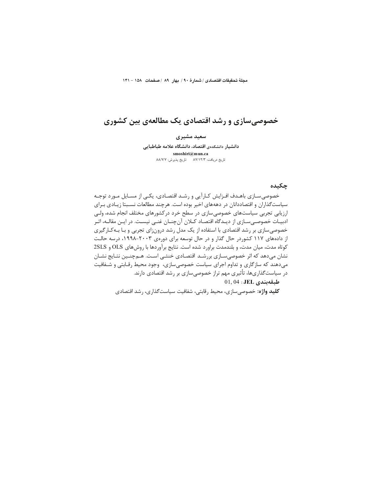مجلةً تحقيقات اقتصادي / شمارة ٩٠ / بهار ٨٩ / صفحات ١٥٨ - ١۴١

# خصوصیسازی و رشد اقتصادی یک مطالعهی بین کشوری

سعید مشیری دانشیار دانشکدهی اقتصاد، دانشگاه علامه طباطبایی smoshiri@mun.ca تاريخ دريافت: ٨٧/١٢/٣ - تاريخ پذيرش: ٨٨/٧/٧

#### چکیده

خصوصی سـازی باهـدف افـزایش کـارآیی و رشـد اقتصـادی، یکـی از مسـایل مـورد توجـه سیاست گذاران و اقتصاددانان در دهههای اخیر بوده است. هرچند مطالعات نسـبتا زیـادی بـرای ارزیابی تجربی سیاستهای خصوصی سازی در سطح خرد درکشورهای مختلف انجام شده، ولـی ادبیـات خصوصـیسـازی از دیـدگاه اقتصـاد کـلان آنچنـان غنـی نیسـت. در ایـن مقالـه، اثـر خصوصی سازی بر رشد اقتصادی با استفاده از یک مدل رشد درونزای تجربی و بـا بـهکـارگیری از دادههای ۱۱۷ کشوردر حال گذار و در حال توسعه برای دورهی ۲۰۰۳–۱۹۹۸، درسه حالت كوتاه مدت، ميان مدت، و بلندمدت براورد شده است. نتايج برآوردها با روش هاي OLS و 2SLS نشان میدهد که اثر خصوصیسازی بررشـد اقتصـادی خنثـی اسـت. هـمچنـین نتـایج نشـان میدهند که سازگاری و تداوم اجرای سیاست خصوصی سازی، وجود محیط رقـابتی و شـفافیت در سیاستگذاریها، تأثیری مهم تراز خصوصی سازی بر رشد اقتصادی دارند.

# $01,04:$ JEL طبقهبندی

**کلید واژه:** خصوصیسازی، محیط رقابتی، شفافیت سیاستگذاری، رشد اقتصادی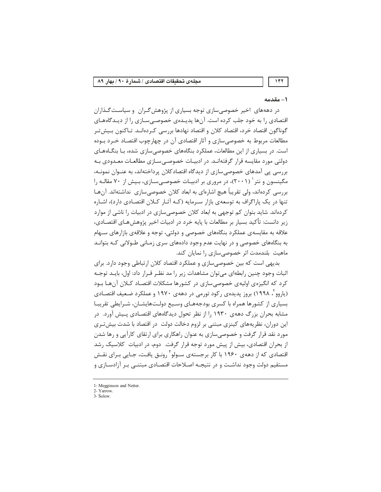### ۱ – مقدمه

147

در دهههای اخیر خصوصی سازی توجه بسیاری از پژوهش گـران و سیاسـت گـذاران اقتصادی ٫ا به خود جلب کرده است. آنها پدیـدهی خصوصـی سـازی ٫ا از دیـدگاههـای گوناگون اقتصاد خرد، اقتصاد کلان و اقتصاد نهادها بررسی کـردهانـد. تـاکنون بـیش5تـر مطالعات مربوط به خصوصی سازی و آثار اقتصادی آن در چهارچوب اقتصـاد خــرد بــوده است. در بسیاری از این مطالعات، عملکرد بنگاههای خصوصی سازی شده، بـا بنگــاههــای دولتی مورد مقایسه قرار گرفتهانـد. در ادبیـات خصوصـی سـازی مطالعـات معـدودی بـه بررسی پی آمدهای خصوصی سازی از دیدگاه اقتصادکلان پرداختهاند، به عنـوان نمونـه، مگینسون و نتر ` (۲۰۰۱)، در مروری بر ادبیـات خصوصـیسـازی، بـیش از ۷۰ مقالـه را بررسی کردهاند، ولی تقریباً هیچ اشارهای به ابعاد کلان خصوصی سازی ِ نداشتهاند. آن هـا تنها در یک پاراگراف به توسعهی بازار سـرمایه (کـه آثـار کـلان اقتصـادی دارد)، اشـاره کردهاند. شاید بتوان کم توجهی به ابعاد کلان خصوصی سازی در ادبیات را ناشی از موارد زير دانست: تأكيد بسيار بر مطالعات با پايه خرد در ادبيات اخير پژوهشهـاي اقتصـادي، علاقه به مقایسهی عملکرد بنگاههای خصوصی و دولتی، توجه و علاقهی بازارهای سـهام به بنگاههای خصوصی و در نهایت عدم وجود دادههای سری زمـانی طـولانی کـه بتوانـد ماهیت بلندمدت اثر خصوصی سازی را نمایان کند.

بدیهی است که بین خصوصی سازی و عملکرد اقتصاد کلان ارتباطی وجود دارد. برای اثبات وجود چنین رابطهای می توان مشاهدات زیر را مد نظـر قـرار داد: اول، بایـد توجـه کرد که انگیزهی اولیهی خصوصی سازی در کشورها مشکلات اقتصـاد کــلان آنهـا بــود (پاروو ، ۱۹۹۸) بروز پدیدهی رکود تورمی در دههی ۱۹۷۰ و عملکرد ضـعیف اقتصـادی بسیاری از کشورها همراه با کسری بودجههـای وسـیع دولـتهایشـان، شـرایطی تقریبـا مشابه بحران بزرگ دههی ۱۹۳۰ را از نظر تحول دیدگاههای اقتصـادی پـیش آورد. در این دوران، نظریههای کینزی مبتنی بر لزوم دخالت دولت در اقتصاد با شدت بیش تـری مورد نقد قرار گرفت و خصوصی سازی به عنوان راهکاری برای ارتقای کارآیی و رها شدن از بحران اقتصادی، بیش از پیش مورد توجه قرار گرفت. دوم، در ادبیات کلاسیک رشد اقتصادی که از دههی ۱۹۶۰ با کار برجستهی سـولو ٔ رونـق یافـت، جـایی بـرای نقـش مستقیم دولت وجود نداشـت و در نتیجـه اصـلاحات اقتصـادی مبتنـی بـر آزادسـازی و

<sup>1-</sup> Megginson and Netter.

<sup>2-</sup> Yarrow.  $\overline{3}$ - Solow.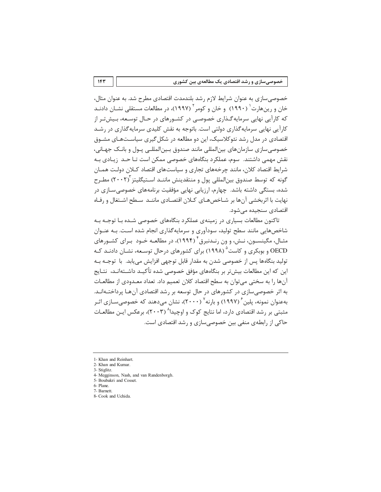خصوصی سازی به عنوان شرایط لازم رشد بلندمدت اقتصادی مطرح شد. به عنوان مثال، خان و رینهارت<sup>۱</sup> (۱۹۹۰) و خان و کومر<sup>۲</sup> (۱۹۹۷)، در مطالعات مستقلی نشـان دادنـد که کارآیی نهایی سرمایه گـذاری خصوصـی در کشـورهای در حـال توسـعه، بـیشتـر از کارآیی نهایی سرمایه گذاری دولتی است. باتوجه به نقش کلیدی سرمایه گذاری در رشـد اقتصادی در مدل رشد نئوکلاسیک، این دو مطالعه در شکل گیری سیاسـتهـای مشـوق خصوصی سازی سازمان های بین|لمللی مانند صندوق بـین|لمللـی پـول و بانـک جهـانی، نقش مهمی داشتند. سوم، عملکرد بنگاههای خصوصی ممکن است تـا حـد ; یـادی بـه شرایط اقتصاد کلان، مانند چرخههای تجاری و سیاستهای اقتصاد کـلان دولـت همـان گونه که توسط صندوق بینالمللی پول و منتقدینش ماننــد اســتیگلیتز ۲۰۰۲) مطـرح شده، بستگی داشته باشد. چهارم، ارزیابی نهایی مؤفقیت برنامههای خصوصی سـازی در نهايت با اثربخشي آنها بر شـاخصهـاي كـلان اقتصـادي ماننــد سـطح اشــتغال و رفـاه اقتصادی سنجیده مے شود.

تاکنون مطالعات بسیاری در زمینهی عملکرد بنگاههای خصوصی شـده بـا توجـه بـه شاخصهایی مانند سطح تولید، سودآوری و سرمایهگذاری انجام شده است. بـه عنـوان مثـال، مگینسـون، نـش، و ون رنـدنبرق ٔ (۱۹۹۴)، در مطالعـه خـود بـرای کشـورهای OECD و بوبکړي و کاست<sup>۵</sup> (۱۹۹۸) برای کشورهای درجال توسعه، نشـان دادنـد کـه توليد بنگاهها پس از خصوصي شدن به مقدار قابل توجهي افزايش مي بابد. با توجــه بــه این که این مطالعات بیش تر بر بنگاههای مؤفق خصوصی شده تأکیـد داشـتهانـد، نتـایج آنها را به سختی می توان به سطح اقتصاد کلان تعمیم داد. تعداد معـدودی از مطالعـات به اثر خصوصی سازی در کشورهای در حال توسعه بر رشد اقتصادی آنهـا پرداختـهانـد. بهعنوان نمونه، پلین ٔ (۱۹۹۷) و بارنه ٔ (۲۰۰۰)، نشان میدهند که خصوصیسـازی اثـر مثبتی بر رشد اقتصادی دارد، اما نتایج کوک و اوچیدا<sup>۸</sup> (۲۰۰۳)، برعکس ایـن مطالعـات حاکی از رابطهی منفی بین خصوصی سازی و رشد اقتصادی است.

- 4- Megginson, Nash, and van Randenborgh
- 5- Boubakri and Cosset.
- 6- Plane.
- 7- Barnett.
- 8- Cook and Uchida.

<sup>1-</sup> Khan and Reinhart.

<sup>2-</sup> Khan and Kumar

<sup>3-</sup> Stiglitz.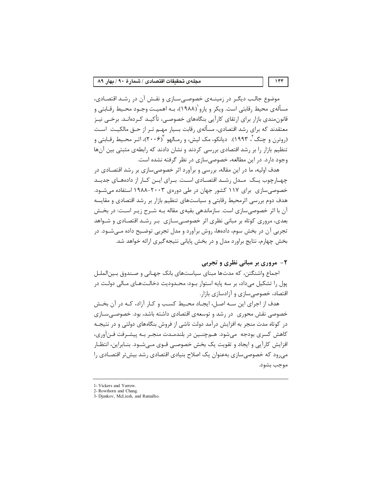موضوع جالب دیگر در زمینــهی خصوصـیسـازی و نقـش آن در رشـد اقتصـادی، مسألهي محيط رقابتي است. ويكر و يارو ٰ(١٩٨٨)، بـه اهميـت وجـود محـيط رقـابتي و قانون،مندی بازار برای ارتقای کارآیی بنگاههای خصوصـی، تأکیـد کـردهانـد. برخـی نیـز معتقدند که برای رشد اقتصادی، مسألهی رقابت بسیار مهـم تـر از حـق مالکیـت اسـت (روترن و چنگ ، ۱۹۹۳). دیانکو، مک لیش، و رمـالهو آ(۲۰۰۶)، اثـر محـیط رقـابتی و تنظیم بازار را بر رشد اقتصادی بررسی کردند و نشان دادند که رابطهی مثبتی بین آنها وجود دارد. در این مطالعه، خصوصی سازی در نظر گرفته نشده است.

هدف اولیه، ما در این مقاله، بررسی و برآورد اثر خصوصیسازی بر رشد اقتصـادی در چهـارچوب يـك مـدل رشـد اقتصـادى اسـت. بـراى ايـن كـار از دادههـاى جديـد خصوصی سازی برای ۱۱۷ کشور جهان در طی دورهی ۲۰۰۳–۱۹۸۸ استفاده می شـود. هدف دوم بررسی اثرمحیط رقابتی و سیاستهای تنظیم بازار بر رشد اقتصادی و مقایسه آن با اثر خصوصی سازی است. سازماندهی بقیهی مقاله بـه شـرح زیـر اسـت: در بخـش بعدی، مروری کوتاه بر مبانی نظری اثر خصوصی سـازی بـر رشـد اقتصـادی و شـواهد تجربی آن در بخش سوم، دادهها، روش برآورد و مدل تجربی توضیح داده مـیشـود. در بخش چهارم، نتایج براورد مدل و در بخش پایانی نتیجه گیری ارائه خواهد شد.

### ۲- مروري بر مباني نظري و تجربي

اجماع واشنگتن، که مدتها مبنای سیاستهای بانک جهـانی و صـندوق بـین|لملـل يول را تشكيل مي داد، بر سه پايه استوار بـود: محـدوديت دخالـتهـاي مـالى دولـت در اقتصاد، خصوصی سازی و آزادسازی بازار.

هدف از اجرای این سـه اصـل، ایجـاد محـیط کسـب و کـار آزاد، کـه در آن بخـش خصوصی نقش محوری ٍ در رشد و توسعهی اقتصادی داشته باشد، بود. خصوصے سازی در کوتاه مدت منجر به افزایش درآمد دولت ناشی از فروش بنگاههای دولتی و در نتیجـه كاهش كسرى بودجه مىشود. هـمچنـين در بلندمـدت منجـر بـه پيشـرفت فـنآورى، افزایش کارآیی و ایجاد و تقویت یک بخش خصوصی قـوی مـیشـود. بنـابراین، انتظـار می رود که خصوصی سازی بهعنوان یک اصلاح بنیادی اقتصادی رشد بیش تر اقتصـادی را موجب بشود.

<sup>1-</sup> Vickers and Yarrow.

<sup>2-</sup> Rowthorn and Chang.<br>3- Djankov, McLiesh, and Ramalho.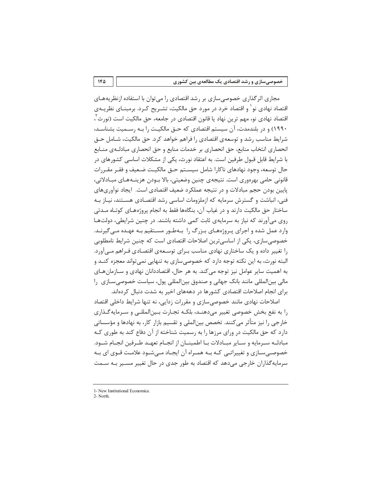خصوصیسازی و رشد اقتصادی یک مطالعهی بین کشوری

مجاری اثر گذاری خصوصی سازی بر رشد اقتصادی را می توان با استفاده ازنظر یه های اقتصاد نهادی نو ٰ و اقتصاد خرد در مورد حق مالکیت، تشـریح کـرد. برمبنــای نظریــهی اقتصاد نهادي نو، مهم ترين نهاد يا قانون اقتصادي در جامعه، حق مالكيت است (نورث ٰ، ۱۹۹۰) و در بلندمدت، آن سیستم اقتصادی که حـق مالکیـت را بـه رسـمیت بشناسـد، شرایط مناسب رشد و توسعهی اقتصادی را فراهم خواهد کرد. حق مالکیت، شـامل حـق انحصاري انتخاب منابع، حق انحصاري بر خدمات منابع و حق انحصاري مبادلـهي منــابع با شرایط قابل قبول طرفین است. به اعتقاد نورث، یکی از مشکلات اساسی کشورهای در حال توسعه، وجود نهادهای ناکارا شامل سیسـتم حـق مالکیـت ضـعیف و فقـر مقـررات قانونی حامی بهرەوری است. نتیجەی چنین وضعیتی، بالا بــودن هزینــههــای مبــادلاتی، يايين بودن حجم مبادلات و در نتيجه عملكرد ضعيف اقتصادي است. ايجاد نوآوري هاي فنی، انباشت و گسترش سرمایه که ازملزومات اساسی رشد اقتصـادی هسـتند، نیـاز بـه ساختار حق مالکیت دارند و در غیاب آن، بنگاهها فقط به انجام پروژههـای کوتـاه مـدتی روی می آورند که نیاز به سرمایهی ثابت کمی داشته باشند. در چنین شرایطی، دولتها وارد عمل شده و اجرای پروژههای بـزرگ را بـهطـور مسـتقیم بـه عهـده مـی گیرنـد. خصوصی سازی، یکی از اساسی ترین اصلاحات اقتصادی است که چنین شرایط نامطلوبی را تغییر داده و یک ساختاری نهادی مناسب بـرای توسـعهی اقتصـادی فـراهم مــی آورد. البته نورث، به این نکته توجه دارد که خصوصیسازی به تنهایی نمیتواند معجزه کنـد و به اهمیت سایر عوامل نیز توجه می کند. به هر حال، اقتصاددانان نهادی و سـازمان هـای مالی بینالمللی مانند بانک جهانی و صندوق بینالمللی پول، سیاست خصوصی سـازی را برای انجام اصلاحات اقتصادی کشورها در دهههای اخیر به شدت دنبال کردهاند.

اصلاحات نهادی مانند خصوصی سازی و مقررات زدایی، نه تنها شرایط داخلی اقتصاد را به نفع بخش خصوصی تغییر میدهنـد، بلکـه تجـارت بـین|لمللـی و سـرمایه گـذاری خارجی را نیز متأثر می کنند. تخصص بین|لملی و تقسیم بازار کار، به نهادها و مؤسساتی دارد که حق مالکیت در ورای مرزها را به رسمیت شناخته از آن دفاع کند به طوری کـه مبادلـه سـرمايه و سـاير مبـادلات بـا اطمينــان از انجـام تعهـد طـرفين انجـام شــود. خصوصی سـازی و تغییراتـی کـه بـه همـراه آن ایجـاد مـی شـود علامـت قـوی ای بـه سرمایه گذاران خارجی می دهد که اقتصاد به طور جدی در حال تغییر مسـیر بـه سـمت

 $2 - North$ 

 $1F\Delta$ 

<sup>1-</sup> New Institutional Economics.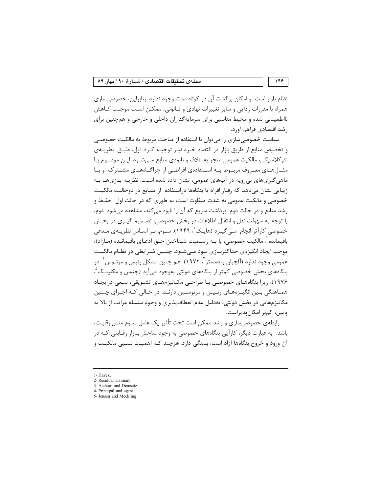نظام بازار است و امکان برگشت آن در کوتاه مدت وجود ندارد. بنابراین، خصوصیسازی همراه با مقررات زدایی و سایر تغییرات نهادی و قـانونی، ممکـن اسـت موجـب کـاهش نااطمینانی شده و محیط مناسبی برای سرمایهگذاران داخلی و خارجی و همچنین برای , شد اقتصادی فراهم آورد.

سیاست خصوصی سازی را می توان با استفاده از مباحث مربوط به مالکیت خصوصــی و تخصیص منابع از طریق بازار در اقتصاد خــرد نیــز توجیــه کــرد. اول، طبــق نظریــهی نئوکلاسیکی، مالکیت عمومی منجر به اتلاف و نابودی منابع مـیشــود. ایــن موضــوع بــا مثــالهــای معــروف مربــوط بــه اســتفادهی افراطــی از چراگــاههــای مشــترک و پــا ماهی گیریهای بی رویه در آبهای عمومی، نشان داده شده است. نظریـه بـازیهـا بـه زیبایی نشان می۵هد که رفتار افراد یا بنگاهها دراستفاده از منـابع در دوحالـت مالکیـت خصوصی و مالکیت عمومی به شدت متفاوت است، به طوری که در حالت اول حفـظ و رشد منابع و در حالت دوم برداشت سریع که آن را نابود می کند، مشاهده می شود. دوم، با توجه به سهولت نقل و انتقال اطلاعات در بخش خصوصی، تصـمیم گیـری در بخـش خصوصی کارآتر انجام مـی¢یـرد (هایـک`، ۱۹۴۹). سـوم، بـر اسـاس نظریـهی مـدعی باقیمانده <sup>۲</sup>، مالکیت خصوصی، با پــه رســمیت شــناختن حــق ادعــای باقیمانــده (مــازاد)، موجب ایجاد انگیزهی حداکثرسازی سود مے شـود. چنـین شـرایطی در نظـام مالکیـت عمومي وجود ندارد (آلچيان و دمستز ً، ١٩٧٢). هم چنين مشكل رئيس و مرئـوس ً ٍ در بنگاههای بخش خصوصی کم تر از بنگاههای دولتی بهوجود میآید (جنسن و مکلینـگ ْ، ۱۹۷۶)، زیرا بنگاههای خصوصی با طراحی مکـانیزمهـای تشـویقی، سـعی درایجـاد همـاهنگی بـین انگیـزههـای رئـیس و مرئوسـین دارنـد، در حـالی کـه اجـرای چنـین مکانیزمهایی در بخش دولتی، بهدلیل عدم انعطافپذیری و وجود سلسله مراتب از بالا به ياسن، كمتر امكان بذيراست.

رابطهی خصوصی سازی و رشد ممکن است تحت تأثیر یک عامل سـوم مثـل رقابـت، باشد. به عبارت دیگر، کارآیی بنگاههای خصوصی به وجود ساختار بـازار رقـابتی کـه در آن ورود و خروج بنگاهها آزاد است، بستگی دارد. هرچند کـه اهمیـت نسـبی مالکیـت و

<sup>1-</sup> Hayek.

<sup>2-</sup> Residual claimant.

<sup>3-</sup> Alchian and Demsetz. 4- Principal and agent.

<sup>5-</sup> Jensen and Meckling.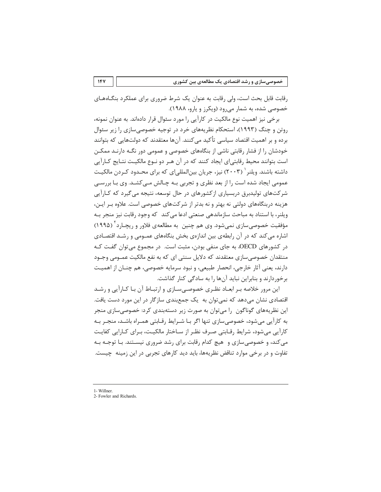رقابت قابل بحث است، ولی رقابت به عنوان یک شرط ضروری برای عملکرد بنگـاههـای خصوصی شده، به شمار میرود (ویکرز و یارو، ۱۹۸۸).

برخی نیز اهمیت نوع مالکیت در کارآیی را مورد سئوال قرار دادهاند. به عنوان نمونه، روتن و چنگ (۱۹۹۳)، استحکام نظریههای خرد در توجیه خصوصیسازی را زیر سئوال برده و بر اهمیت اقتصاد سیاسی تأکید میکنند. آنها معتقدند که دولتهایی که بتوانند خودشان را از فشار رقابتی ناشی از بنگاههای خصوصی و عمومی دور نگـه دارنـد ممكـن است بتوانند محیط رقابتی|ی ایجاد کنند که در آن هـر دو نـوع مالکیـت نتـایج کـارآیی داشته باشند. ویلنر ` (۲۰۰۳) نیز، جریان بین|لمللی|ی که برای محـدود کـردن مالکیـت عمومی ایجاد شده است را از بعد نظری و تجربی بـه چـالش مـی کشـد. وی بـا بررسـی شرکتهای تولیدبرق دربسیاری ازکشورهای در حال توسعه، نتیجه می گیرد که کـارآیی هزینه دربنگاههای دولتی نه بهتر و نه بدتر از شرکتهای خصوصی است. علاوه بـر ایـن، ویلنر، با استناد به مباحث سازماندهی صنعتی ادعا می کند که وجود رقابت نیز منجر بـه مؤفقیت خصوصی سازی نمیشود. وی هم چنین به مطالعهی فلاور و ریچـارد<sup>۲</sup> (۱۹۹۵) اشاره می کند که در آن رابطهی بین اندازهی بخش بنگاههای عمـومی و رشـد اقتصـادی در کشورهای OECD، به جای منفی بودن، مثبت است. در مجموع می توان گفت کـه منتقدان خصوصی سازی معتقدند که دلایل سنتی ای که به نفع مالکیت عمــومی وجــود دارند، یعنی آثار خارجی، انحصار طبیعی، و نبود سرمایه خصوصی، هم چنــان از اهمیــت برخوردارند و بنابراین نباید آنها را به سادگی کنار گذاشت.

این مرور خلاصه بـر ابعـاد نظـری خصوصـی سـازی و ارتبـاط آن بـا کـارآیی و رشـد اقتصادی نشان میدهد که نمی توان به یک جمعبندی سازگار در این مورد دست یافت. این نظریههای گوناگون را میتوان به صورت زیر دستهبندی کرد: خصوصیسازی منجر به کارآیی می شود، خصوصی سازی تنها اگر بـا شـرایط رقـابتی همـراه باشـد، منجـر بـه كارآيي مي شود، شرايط رقـابتي صـرف نظـر از سـاختار مالكيـت، بـراي كـارايي كفايـت می کند، و خصوصی سازی و هیچ کدام رقابت برای رشد ضروری نیسـتند. بـا توجـه بـه تفاوت و در برخی موارد تناقض نظریهها، باید دید کارهای تجربی در این زمینه چیست.

<sup>1-</sup> Willner.

<sup>2-</sup> Fowler and Richards.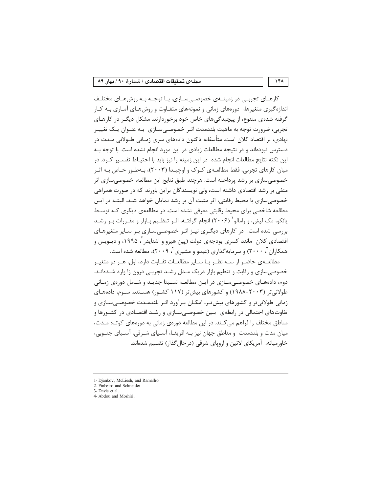#### مجلهى تحقيقات اقتصادى / شىمارهٔ ٩٠ / بهار ٨٩

کارهـای تجربــی در زمینــهی خصوصــیسـازی، بـا توجــه بــه روشهـای مختلـف اندازه گیری متغیرها، دورههای زمانی و نمونههای متفـاوت و روشهـای آمـاری بـه کـار گرفته شدهی متنوع، از پیچیدگی های خاص خود برخوردارند. مشکل دیگـر در کارهـای تجربی، ضرورت توجه به ماهیت بلندمدت اثـر خصوصـی سـازی بـه عنـوان یـک تغییـر نهادی، بر اقتصاد کلان است. متأسفانه تاکنون دادههای سری زمـانی طــولانی مــدت در دسترس نبودهاند و در نتیجه مطالعات زیادی در این مورد انجام نشده است. با توجه بـه این نکته نتایج مطالعات انجام شده در این زمینه را نیز باید با احتیـاط تفسـیر کـرد. در میان کارهای تجربی، فقط مطالعـهی کـوک و اوچیـدا (۲۰۰۳)، بـهطـور خـاص بـه اثـر خصوصی سازی بر رشد پرداخته است. هرچند طبق نتایج این مطالعه، خصوصی سازی اثر منفی بر رشد اقتصادی داشته است، ولی نویسندگان براین باورند که در صورت همراهی خصوصی سازی با محیط رقابتی، اثر مثبت آن بر رشد نمایان خواهد شـد. البتـه در ایـن مطالعه شاخصی برای محیط رقابتی معرفی نشده است. در مطالعهی دیگری کـه توسـط یانکو، مک لیش، و رامالو` (۲۰۰۶) انجام گرفتـه، اثـر تنظـیم بـازار و مقـررات بـر رشـد بررسی شده است. در کارهای دیگری نیـز اثـر خصوصـیسـازی بـر سـایر متغیرهـای اقتصادی کلان مانند کسری بودجهی دولت (پین هیرو و اشنایدر <sup>۲</sup>، ۱۹۹۵، و دیــویس و همکاران ، ۲۰۰۰) و سرمایه گذاری (عیدو و مشیری ٔ ۲۰۰۹)، مطالعه شده است.

مطالعــهي حاضـر از ســه نظـر بــا ســاير مطالعــات تفــاوت دارد، اول، هــر دو متغيــر خصوصی سازی و رقابت و تنظیم بازار دریک مـدل رشـد تجربـی درون زا وارد شـدهانـد. دوم، دادههـای خصوصـی،سـازی در ایـن مطالعـه نسـبتا جدیـد و شـامل دورهی زمـانی طولانیتر (۲۰۰۳–۱۹۸۸) و کشورهای بیشتر (۱۱۷ کشـور) هسـتند. سـوم، دادههـای زمانی طولانی تر و کشورهای بیش تـر، امکـان بـرآورد اثـر بلندمـدت خصوصـیسـازی و تفاوتهای احتمالی در رابطهی بین خصوصے سازی و رشـد اقتصـادی در کشـورها و مناطق مختلف را فراهم می کنند. در این مطالعه دوروی زمانی به دورههای کوتـاه مـدت، میان مدت و بلندمدت و مناطق جهان نیز بـه افریقـا، آسـیای شـرقی، آسـیای جنـوبی، خاورمیانه، آمریکای لاتین و اروپای شرقی (درحال گذار) تقسیم شدهاند.

<sup>1-</sup> Djankov, McLiesh, and Ramalho.

<sup>2-</sup> Pinheiro and Schneider.

<sup>3-</sup> Davis et al 4- Abdou and Moshiri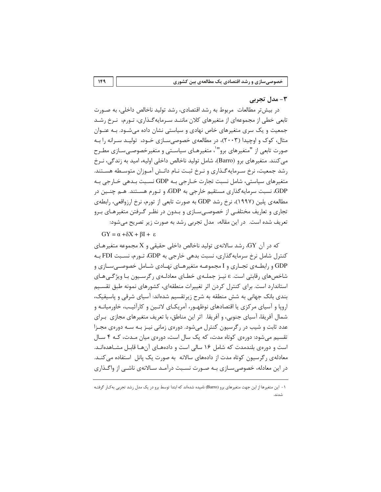### ۳- مدل تجربی

در بیش تر مطالعات (مربوط به رشد اقتصادی، رشد تولید ناخالص داخلی، به صـورت تابعی خطی از مجموعهای از متغیرهای کلان ماننـد سـرمایهگـذاری، تـورم، نـرخ رشـد جمعیت و یک سری متغیرهای خاص نهادی و سیاستی نشان داده میشـود. بـه عنـوان مثال، کوک و اوچیدا (۲۰۰۳)، در مطالعهی خصوصیسازی خـود، تولیـد سـرانه را بـه صورت تابعی از "متغیرهای برو"<sup>۱</sup>، متغیرهـای سیاسـتی و متغیرخصوصـی سـازی مطـرح مي كنند. متغيرهاي برو (Barro)، شامل توليد ناخالص داخلي اوليه، اميد به زندگي، نـرخ رشد جمعیت، نرخ سـرمایه گـذاری و نـرخ ثبـت نـام دانـش آمـوزان متوسـطه هسـتند. متغیرهای سیاستی، شامل نسبت تجارت خــارجی بــه GDP نســبت بـدهی خــارجی بــه GDP، نسبت سرمایهگذاری مستقیم خارجی به GDP، و تـورم هسـتند. هـم چنـین در مطالعه ی پلین (۱۹۹۷)، نرخ رشد GDP به صورت تابعی از تورم، نرخ ارزواقعی، رابطه ی تجاری و تعاریف مختلفـی از خصوصـیسـازی و بـدون در نظـر گـرفتن متغیرهـای بـرو تعریف شده است. در این مقاله، مدل تجربی رشد به صورت زیر تصریح میشود:

 $GY = \alpha + \delta X + \beta I + \varepsilon$ 

که در آن GY، رشد سالانهی تولید ناخالص داخلی حقیقی و X مجموعه متغیرهـای کنترل شامل نرخ سرمایهگذاری، نسبت بدهی خارجی به GDP، تـورم، نسـبت FDI بــه GDP و رابطهی تجاری و I مجموعـه متغیرهـای نهـادی شـامل خصوصـیسـازی و شاخصهای رقابتی است. ٤ نیـز جملـهی خطـای معادلـهی رگرسـیون بـا ویژگـیهـای استاندارد است. برای کنترل کردن اثر تغییرات منطقهای، کشورهای نمونه طبق تقسیم بندی بانک جهانی به شش منطقه به شرح زیرتقسیم شدهاند: آسیای شرقی و پاسیفیک، اروپا و آسیای مرکزی یا اقتصادهای نوظهـور، آمریکـای لاتـین و کارآئیـب، خاورمیانـه و شمال آفریقا، آسیای جنوبی، و آفریقا. اثر این مناطق، با تعریف متغیرهای مجازی بـرای عدد ثابت و شیب در رگرسیون کنترل میشود. دورهی زمانی نیـز بـه سـه دورهی مجـزا تقسیم میشود: دورەی کوتاه مدت، که یک سال است، دورەی میان مـدت، کـه ۴ سـال است و دورەی بلندمدت که شامل ۱۶ سالی است و دادەهـای آنهـا قابـل مشـاهدەانـد. معادلهی رگرسیون کوتاه مدت از دادههای سالانه به صورت یک پانل استفاده می کنــد. در این معادله، خصوصی ســازی بــه صــورت نســبت درآمــد ســالانهی ناشــی از واگــذاری

۱- این متغیرها از این جهت متغیرهای برو (Barro) نامیده شدهاند که ابتدا توسط برو در یک مدل رشد تجربی بهکار گرفتـه  $AIA.5$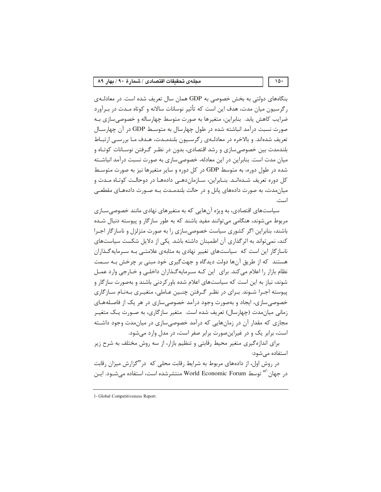بنگاههای دولتی به بخش خصوصی به GDP همان سال تعریف شده است. در معادلـهی رگرسیون میان مدت، هدف این است که تأثیر نوسانات سالانه و کوتاه مـدت در بـرآورد ضرایب کاهش یابد. بنابراین، متغیرها به صورت متوسط چهارساله و خصوصی سازی بـه صورت نسبت درآمد انباشته شده در طول چهارسال به متوسـط GDP در آن چهارسـال تعریف شدهاند. و بالاخره در معادلـهی رگرسـیون بلندمـدت، هـدف مـا بررسـی ارتبـاط بلندمدت بین خصوصی سازی و رشد اقتصادی، بدون در نظـر گـرفتن نوسـانات کوتـاه و میان مدت است. بنابراین در این معادله، خصوصی سازی به صورت نسبت درآمد انباشـته شده در طول دوره، به متوسط GDP در کل دوره و سایر متغیرها نیز به صورت متوسط کل دوره تعریف شـدهانـد. بنــابراین، ســازمانِدهـی دادههـا در دوحالـت کوتـاه مـدت و میان مدت، به صورت دادههای پانل و در حالت بلندمــدت بــه صــورت دادههــای مقطعــی است.

سیاستهای اقتصادی، به ویژه آنهایی که به متغیرهای نهادی مانند خصوصی سـازی مربوط میشوند، هنگامی میتوانند مفید باشند که به طور سازگار و پیوسته دنبال شـده باشند، بنابراین اگر کشوری سیاست خصوصی سازی را به صورت متزلزل و ناسازگار اجـرا کند، نمی تواند به اثر گذاری آن اطمینان داشته باشد. یکی از دلایل شکست سیاستهای ناسازگار این است که سیاستهای تغییر نهادی به مثابهی علامتــی بـه سـرمایهگـذاران هستند که از طریق آنها دولت دیدگاه و جهتگیری خود مبنی بر چرخش بـه سـمت نظام بازار را اعلام می کند. برای این کـه سـرمایهگـذاران داخلـی و خـارجی وارد عمـل شوند، نیاز به این است که سیاستهای اعلام شده باور کردنی باشند و بهصورت سازگار و پیوسته اجـرا شـوند. بـرای در نظـر گـرفتن چنـین عـاملی، متغیـری بـهنـام سـازگاری خصوصی سازی، ایجاد و بهصورت وجود درآمد خصوصی سازی در هر یک از فاصـلههـای زمانی میان مدت (چهارسال) تعریف شده است. متغیر سازگاری، به صـورت یـک متغیـر مجازی که مقدار آن در زمانهایی که درآمد خصوصی سازی در میان مدت وجود داشته است، برابر یک و در غیراین صورت برابر صفر است، در مدل وارد می شود.

برای اندازهگیری متغیر محیط رقابتی و تنظیم بازار، از سه روش مختلف به شرح زیر استفاده مى شود:

در روش اول، از دادههای مربوط به شرایط رقابت محلی که در "گزارش میزان رقابت در جهان '" توسط World Economic Forum منتشرشده است، استفاده میشـود. ایـن

 $10.$ 

<sup>1-</sup> Global Competitiveness Report.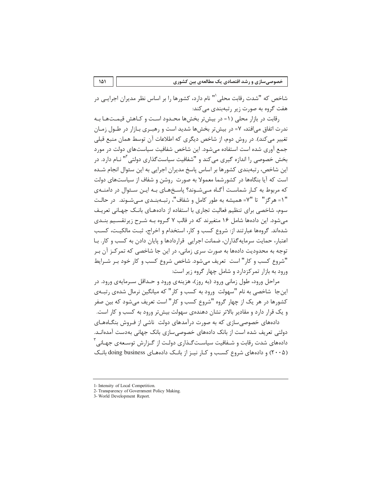شاخص که "شدت رقابت محلی `" نام دارد، کشورها را بر اساس نظر مدیران اجرایـی در هفت گروه به صورت زیر رتبهبندی می کند:

رقابت در بازار محلی (۱= در بیشتر بخشها محـدود اسـت و کـاهش قیمـتهـا بـه ندرت اتفاق می|فتد، ۷= در بیش تر بخشها شدید است و رهبـری بـازار در طـول زمـان تغییر میکند). در روش دوم، از شاخص دیگری که اطلاعات آن توسط همان منبع قبلی جمع آوری شده است استفاده می شود. این شاخص شفافیت سیاستهای دولت در مورد بخش خصوصی را اندازه گیری می کند و "شفافیت سیاست گذاری دولتی"' نـام دارد. در این شاخص، رتبهبندی کشورها بر اساس پاسخ مدیران اجرایی به این سئوال انجام شـده است که آیا بنگاهها در کشورشما معمولا به صورت روشن و شفاف از سیاستهای دولت که مربوط به کـار شماسـت آگـاه مـیشـوند؟ پاسـخهـای بـه ایـن سـئوال در دامنـهی "١= هرگز" تا "٧= همیشه به طور کامل و شفاف"، رتبـهبنـدی مـی شـوند. در حالـت سوم، شاخصی برای تنظیم فعالیت تجاری با استفاده از دادههـای بانـک جهـانی تعریـف می شود. این دادهها شامل ۱۶ متغیرند که در قالب ۷ گـروه بـه شـرح زیرتقسـیم بنـدی شدهاند. گروهها عبارتند از: شروع كسب و كار، استخدام و اخراج، ثبت مالكيت، كسب اعتبار، حمایت سرمایه گذاران، ضمانت اجرایی قراردادها و پایان دادن به کسب و کار. بـا توجه به محدودیت دادهها به صورت سری زمانی، در این جا شاخصی که تمرکـز آن بـر "شروع كسب و كار" است تعريف مي شود. شاخص شروع كسب و كار خود بـر شـرايط ورود به بازار تمرکزدارد و شامل چهار گروه زیر است:

مراحل ورود، طول زمانی ورود (به روز)، هزینهی ورود و حـداقل سـرمایهی ورود. در این جا شاخصی به نام "سهولت ورود به کسب و کار" که میانگین نرمال شدهی رتبـهی کشورها در هر یک از چهار گروه "شروع کسب و کار" است تعریف میشود که بین صفر و یک قرار دارد و مقادیر بالاتر نشان دهندهی سهولت بیش تر ورود به کسب و کار است.

دادههای خصوصی سازی که به صورت درآمدهای دولت ِناشی از فیروش بنگـاههـای دولتے ِ تعریف شدہ است از بانک دادہھای خصوصے سازی بانک جھانے ِ بەدست آمدہانــد. دادههای شدت رقابت و شــفافیت سیاســت *گــذ*اری دولــت از گــزارش توسـعهی جهـانے <sup>۳</sup> (۲۰۰۵) و دادههای شروع کسب و کـار نیـز از بانـک دادههـای doing business بانـک

<sup>1-</sup> Intensity of Local Competition.

<sup>2-</sup> Transparency of Government Policy Making

<sup>3-</sup> World Development Report.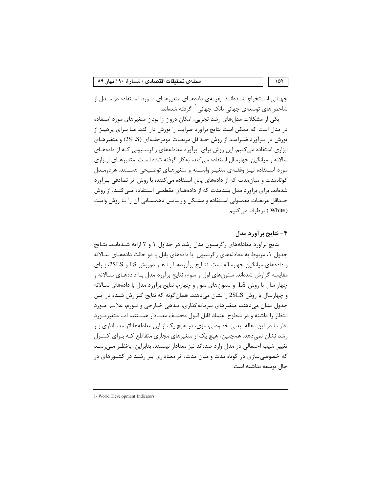جهـاني اســتخراج شــدهانــد. بقيــهي دادههــاي متغيرهــاي مــورد اســتفاده در مــدل از شاخصهای توسعهی جهانی بانک جهانی <sup>۱</sup> گرفته شدهاند.

یکی از مشکلات مدل های رشد تجربی، امکان درون زا بودن متغیرهای مورد استفاده در مدل است که ممکن است نتایج برآورد ضرایب را تورش دار کند. مـا بـرای پرهیـز از تورش در بـرآورد ضـرايب، از روش حـداقل مربعـات دومرحلـهاي (2SLS) و متغيرهـاي ابزاری استفاده میکنیم. این روش برای برآورد معادلههای رگرسیونی کـه از دادههـای سالانه و میانگین چهارسال استفاده می کند، به کار گرفته شده است. متغیرهـای ابـزاری مورد استفاده نیـز وقفـهی متغیـر وابسـته و متغیرهـای توضـیحی هسـتند. هردومـدل کوتاممدت و میان مدت که از دادههای پانل استفاده می کنند، با روش اثر تصادفی بـرآورد شدهاند. برای برآورد مدل بلندمدت که از دادههـای مقطعـی اسـتفاده مـی کنـد، از روش حـداقل مربعـات معمــولى اســتفاده و مشــكل واريــانس ناهمســانى آن را بــا روش وايــت ( White ) برطرف می کنیم.

# ۴- نتايج بر آورد مدل

نتایج برآورد معادلههای رگرسیون مدل رشد در جداول ۱ و ۲ ارایه شـدهانـد. نتـایج جدول ۱، مربوط به معادلههای رگرسیون با دادههای پانل با دو حالت دادههـای ســالانه و دادههای میانگین چهارساله است. نتـایج برآوردهـا بـا هـر دوروش LS و 2SLS، بـرای مقایسه گزارش شدهاند. ستونهای اول و سوم، نتایج برآورد مدل بـا دادههـای سـالانه و چهار سال با روش LS و ستونهای سوم و چهارم، نتایج برآورد مدل با دادههای سـالانه و چهارسال با روش 2SLS را نشان می دهند. همان گونه که نتایج گـزارش شـده در ایـن جدول نشان میدهند، متغیرهای سرمایه گذاری، بـدهی خـارجی و تـورم، علایـم مـورد انتظار را داشته و در سطوح اعتماد قابل قبول مختلـف معنـادار هسـتند، امـا متغيرمـورد نظر ما در این مقاله، یعنی خصوصی سازی، در هیچ یک از این معادلهها اثر معنـاداری بـر رشد نشان نمیدهد. همچنین، هیچ یک از متغیرهای مجازی متقاطع کـه بـرای کنتـرل تغییر شیب احتمالی در مدل وارد شدهاند نیز معنادار نیستند. بنابراین، بهنظـر مـی٬سـد که خصوصی سازی در کوتاه مدت و میان مدت، اثر معناداری بـر رشـد در کشـورهای در حال توسعه نداشته است.

<sup>1-</sup> World Development Indicators.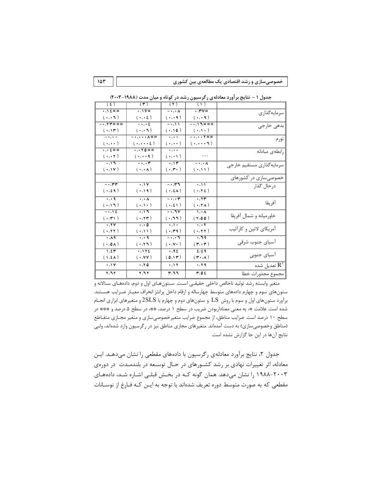|  | خصوصیسازی و رشد اقتصادی یک مطالعهی بین کشوری |  |  |  |
|--|----------------------------------------------|--|--|--|
|--|----------------------------------------------|--|--|--|

|                           | $\sqrt{1}$                                                                                 | $(\tau)$                                                       | $(\mathbf{r})$                     | (5)                                           |
|---------------------------|--------------------------------------------------------------------------------------------|----------------------------------------------------------------|------------------------------------|-----------------------------------------------|
| سرمايهگذاري               | $\cdot$ , ۳ $V*$                                                                           | $-\cdot, \cdot \wedge$                                         | $\cdot$ , $\mathsf{V}$ *           | •,\£**                                        |
|                           | $(\cdot,\cdot, \cdot)$                                                                     | $(\cdot,\cdot, \cdot)$                                         | $(\cdot,\cdot\; \epsilon\,)$       | $( \cdot, \cdot \wedge )$                     |
|                           | # * * / / . -                                                                              | $-\cdot, \cdot \cdot$                                          | $-\cdot, \cdot \epsilon$           | $-$ . $YY$ * * * *                            |
|                           | $(\cdot,\cdot,\cdot)$                                                                      | $( \cdot, \cdot)$                                              | $(\cdot,\cdot, \cdot)$             | $( \cdot, \mathcal{W})$                       |
| تورم                      | -., * * *                                                                                  | $\overline{\cdots}$                                            | $-$ ., $\cdot$ . $\Lambda$ **      | $\overline{\cdots}$                           |
|                           | $( \cdot, \cdot \cdot \cdot \tau)$                                                         | $(\,\boldsymbol\cdot\,,\boldsymbol\cdot\,\boldsymbol\cdot\,)$  | $(\cdot,\cdot\cdot\cdot\epsilon)$  | $(\cdot,\cdot\cdot)$                          |
| رابطهى مبادله             |                                                                                            | $\ldots$                                                       | $\cdot$ , $\cdot$ $\uparrow$ 0 * * | •,•£排排                                        |
|                           | $\ldots$                                                                                   | $(\,\boldsymbol\cdot\,,\boldsymbol\cdot\, \boldsymbol\cdot\,)$ | $(\cdot,\cdot\cdot)$               | $(\cdot,\cdot)$                               |
| سرمايهگذاري مستقيم خارجي  | $-\cdot, \cdot \wedge$                                                                     | $\overline{\cdot}$ , $\overline{\tau}$                         | $\overline{\phantom{m}}\,$         | $\cdot$ ,17                                   |
|                           | $(\;\cdot\;,\mathcal{H}\;)\;$                                                              | $(\;\cdot\;,\mathbf{r}\boldsymbol{\cdot}\;)$                   | $(\cdot,\cdot \wedge)$             | $( \cdot, \vee \vee )$                        |
| ۔<br>خصوصیسازی در کشورهای |                                                                                            |                                                                |                                    |                                               |
| درحال گذار                | $\overline{\cdots}$                                                                        | $- \cdot 77$                                                   | $\overline{\cdots}$                | $- \cdot 77$                                  |
|                           | $(\;\cdot\,,\tau\;\epsilon\;)$                                                             | $(\; \cdot \; , \epsilon \wedge)$                              | $( \cdot, 19)$                     | $(\; \cdot \; , \epsilon \; \mathfrak{q} \;)$ |
|                           | $\cdot$ , $\tau$ $\tau$                                                                    | $-\cdot, \cdot$ r                                              | $\overline{\cdots}$                | $\overline{\cdots}$                           |
| آفريقا                    | $(\;\cdot\,,\mathbf{Y}\,\boldsymbol{\lambda}\,)\;$                                         | $(\cdot, \epsilon)$                                            | $(\cdot,\wedge\cdot)$              | $( \cdot, \wedge \wedge)$                     |
| خاورميانه و شمال آفريقا   | $\sqrt{1 + \lambda}$                                                                       | $-0.5V$                                                        | $\overline{\cdot}$                 | $\overline{\cdots}$                           |
|                           | (7,00)                                                                                     | $( \cdot, 77)$                                                 | $( \, \cdot \, , \tau \, r \,)$    | $( \cdot, \mathbf{r} )$                       |
| أمريكاي لاتين و كارأئيب   | $\overline{\cdot\cdot\cdot}$                                                               | $\cdot, \cdot$                                                 | $\overline{\cdots}$                | $\overline{\cdot, \overline{\tau v}}$         |
|                           | $(\;\cdot\,,\mathsf{YY}\;)$                                                                | $(\; \cdot \, , \mathsf{r} \, \mathsf{q} \, \, )$              | $( \cdot , \wedge \wedge )$        | $( \cdot, \tau \tau )$                        |
|                           | $\overline{\cdot}$ , 19                                                                    | $ \cdot$ , $\cdot$ ٦                                           | $\overline{\cdots}$                | $\overline{\cdot}$ , $\overline{\wedge}$ q    |
| آسیای جنوب شرقی           | $(\mathbf{r}, \mathbf{r})$                                                                 | $(\;\cdot\;,\mathsf{v}\;\cdot\;)$                              | $( \cdot, \tau \setminus )$        | $( \cdot, 0 \wedge )$                         |
|                           | 2,24                                                                                       | $\overline{\cdot$ , q $\epsilon$                               | $\overline{\cdot, \cdot}$          | 1, 21                                         |
| آسياي جنوبي               | $(\, \mathsf{r} \,{\boldsymbol\cdot}\hskip-1.5pt, \hspace{1.5pt} \boldsymbol{\lambda} \,)$ | (0,11)                                                         | $(\cdot,\mathsf{v}\mathsf{v})$     | $(1, \mathbf{2A})$                            |
| تعدیل شده $\rm R^2$       | $\cdot$ , $\tau$ ٩                                                                         | ۰,۱۲                                                           | ۰,۲٥                               | $\cdot$ , \ Y                                 |
| وحموع وحذورات خطا         | r, o t                                                                                     | ۳,۶۹                                                           | ۲٫٦۲                               | Y, Y                                          |

جدول ۱ – نتایج بر آورد معادلهی رگرسیون رشد در کوتاه و میان مدت (۱۹۸۸-۲۰۰۳)

 $107$ 

متغير وابسته رشد توليد ناخالص داخلي حقيقـي اسـت. سـتون هـاي اول و دوم، دادههـاي سـالانه و ستونهای سوم و چهارم دادههای متوسط چهارساله و ارقام داخل پرانتز انحراف معیـار ضـرایب هسـتند. برآورد ستونهای اول و سوم با روش LS و ستونهای دوم و چهارم با 2SLS و متغیرهای ابزاری انجـام شده است. علامت \*، به معنى معناداربودن ضريب در سطح ١ درصد، \*\*، در سطح ۵ درصد و \*\*\* در سطح ١٠ درصد است. ضرايب مناطق، از مجموع ضرايب متغيرخصوصى سازى و متغير مجـازى متقـاطع (مناطق وخصوصیسازی) به دست آمدهاند. متغیرهای مجازی مناطق نیز در رگرسیون وارد شدهاند، ولـی نتایج آنها در این جا گزارش نشده است.

جدول ۲، نتایج برآورد معادلهی رگرسیون با دادههای مقطعی را نشان میدهـد. ایـن معادله، اثر تغییرات نهادی بر رشد کشورهای در حـال توسـعه در بلندمـدت در دورهی ۲۰۰۳–۱۹۸۸ را نشان میدهد. همان گونه کـه در بخـش قبلـی اشـاره شـد، دادههـای مقطعی که به صورت متوسط دوره تعریف شدهاند با توجه به ایـن کـه فـارغ از نوسـانات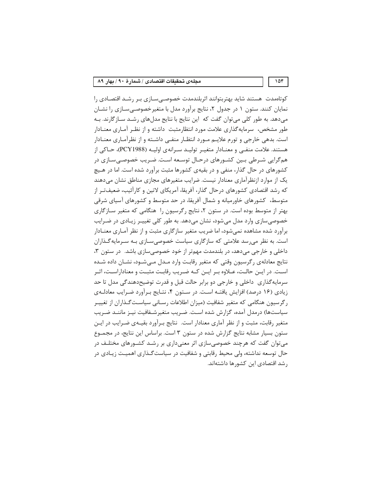کوتاممدت هستند شاید بهتربتوانند اثربلندمدت خصوصی سازی بر رشد اقتصادی را نمایان کنند. ستون ۱ در جدول ۲، نتایج برآورد مدل با متغیرخصوصی سـازی را نشـان می دهد. به طور کلی می توان گفت که این نتایج با نتایج مدل های رشـد سـاز گارند. بـه طور مشخص، سرمایه گذاری علامت مورد انتظارمثبت داشته و از نظـر آمـاری معنــادار است. بدهی خارجی و تورم علایــم مــورد انتظــار منفــی داشــته و از نظرآمــاری معنــادار هستند. علامت منفـی و معنــادار متغیـر تولیــد سـرانه ی اولیــه (PCY1988)، حــاکی از همگرایی شـرطی بـین کشـورهای درحـال توسـعه اسـت. ضـریب خصوصـیسـازی در کشورهای در حال گذار، منفی و در بقیهی کشورها مثبت برآورد شده است. اما در هـیچ یک از موارد ازنظرآماری معنادار نیست. ضرایب متغیرهای مجازی مناطق نشان میدهند که رشد اقتصادی کشورهای درحال گذار، آفریقا، آمریکای لاتین و کارآئیب، ضعیفتـر از متوسط، کشورهای خاورمیانه و شمال آفریقا، در حد متوسط و کشورهای آسیای شرقی بهتر از متوسط بوده است. در ستون ۲، نتایج رگرسیون را هنگامی که متغیر سـازگاری خصوصی سازی وارد مدل میشود، نشان میدهد. به طور کلی تغییـر زیـادی در ضـرایب برآورد شده مشاهده نمیشود، اما ضریب متغیر سازگاری مثبت و از نظر آمـاری معنــادار است. به نظر می رسد علامتی که سازگاری سیاست خصوصی سـازی بـه سـرمایهگـذاران داخلی و خارجی می دهد، در بلندمدت مهمتر از خود خصوصی سازی باشد. در ستون ۳، نتایج معادلهی رگرسیون وقتی که متغیر رقابت وارد مـدل مـی شـود، نشـان داده شـده است. در ایـن حالـت، عـلاوه بـر ایـن کـه ضـریب رقابـت مثبـت و معناداراسـت، اثـر سرمایه گذاری داخلی و خارجی دو برابر حالت قبل و قدرت توضیحدهندگی مدل تا حد زیادی (۱۶ درصد) افزایش یافتـه اسـت. در سـتون ۴، نتـایج بـرآورد ضـرایب معادلـهی رگرسیون هنگامی که متغیر شفافیت (میزان اطلاعات رسـانی سیاسـتگـذاران از تغییـر سیاستها) درمدل آمده، گزارش شده است. ضـریب متغیرشـفافیت نیـز ماننـد ضـریب متغیر رقابت، مثبت و از نظر آماری معنادار است. نتایج بـرآورد بقیـهی ضـرایب در ایـن ستون بسیار مشابه نتایج گزارش شده در ستون ۳ است. براساس این نتایج، در مجمـوع می توان گفت که هرچند خصوصی سازی اثر معنی داری بر رشـد کشـورهای مختلـف در حال توسعه نداشته، ولي محيط رقابتي و شفافيت در سياست گـذاري اهميـت زيـادي در رشد اقتصادی این کشورها داشتهاند.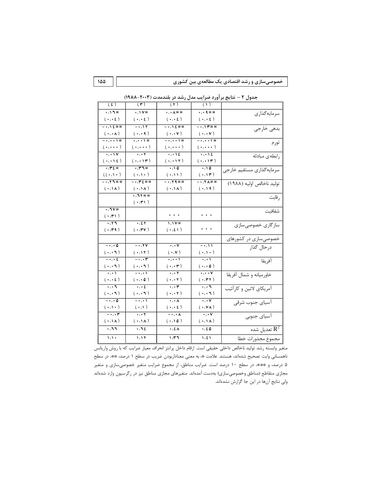| خصوصیسازی و رشد اقتصادی یک مطالعهی بین کشوری |  |  |
|----------------------------------------------|--|--|
|----------------------------------------------|--|--|

| $.11*$<br>$\cdot$ , $\cdot$ $\wedge$ $\ast$ $\ast$<br>$,$ 4 * *<br>$\cdot$ , $\vee$ *<br>سرمايهگذاري<br>$(\; \cdot \, , \cdot \, \epsilon \; )$<br>$(\; \cdot \; , \cdot \; \epsilon \;)$<br>$(\;\cdot\;,\cdot\;\epsilon\;)$<br>$(\cdot,\cdot\; \epsilon)$<br>$-0.17$<br>一、八乏旅游<br>一、八乏旅游<br>- ., \   * * *<br>بدهي خارجي<br>$(\cdot,\cdot\vee)$<br>$(\cdot,\cdot\,\lambda)$<br>$(\cdot,\cdot)$<br>$(\cdot,\cdot\,\mathsf{v})$<br>- • , • • \ *<br>$ \cdots$ \ $\ast$<br>$ \cdots$ \ $\ast$<br>$\overline{\cdots}$<br>تورم<br>$(\; \cdot \, , \cdot \, \cdot \; )$<br>$(\ldots, \ldots)$<br>$(\cdot,\cdot\cdot\cdot)$<br>$(\;\cdot\;,\cdot\; \cdot\;)$<br>$\overline{\cdot\cdot\cdot\cdot}$<br>$\overline{\cdot\cdot\cdot\cdot\epsilon}$<br>$\overline{\cdots}$<br>$\cdot, \cdot \wedge \vee$<br>رابطهى مبادله<br>$( \cdot, \cdot \setminus \epsilon )$<br>$( \cdot, \cdot \setminus r )$<br>$( \cdot, \cdot \setminus \tau )$<br>$( \, \boldsymbol{\cdot} \, , \boldsymbol{\cdot} \, \boldsymbol{\mathsf{h}} \, )$<br>$\overline{\cdots}$<br>$\cdot$ , ۳٤ $\ast$<br>$\cdot$ ,10<br>$\cdot$ , ۳٦*<br>سرمايهگذاري مستقيم خارجي<br>$((\cdot,\cdot,\cdot))$<br>$(\cdot,\wedge\cdot)$<br>$( \cdot , \cdot )$<br>$( \cdot, \mathcal{M})$<br>توليد ناخالص اوليه (١٩٨٨)<br>$ \cdot$ , $\gamma$ $\pi$ * *<br>一、、广乞旅旅<br>$-$ ., $\gamma$ q * *<br>$- \cdot 74$ **<br>$(\cdot, \mathcal{N})$<br>$(\cdot,\Lambda)$<br>$( \cdot , \cdot )$<br>$( \cdot, 19)$<br>$, 11**$<br>رقابت<br>$( \cdot, \mathbf{r} )$<br>$\cdot, \neg \vee \ast$<br>شفافيت<br>.<br>$\cdots$<br>$( \cdot, \mathbf{r} )$<br>$\overline{\cdot}$ , $\overline{\cdot}$<br>$1,1Y*$<br>$\overline{\cdot, \epsilon\tau}$<br>سازگاری خصوصیسازی<br>.<br>$( \cdot, \tau)$<br>$( \cdot, \mathbf{rv})$<br>$( \cdot, \epsilon )$<br>خصوصیسازی در کشورهای<br>درحال گذار<br>$-\cdot, \cdot \circ$<br>$-0.7V$<br>$-$ , $\cdot$ $\mathsf{v}$<br>$-\cdot, \cdot \cdot$<br>$(\cdot,\cdot)$<br>$( \cdot, \mathcal{H})$<br>$(\; \cdot \; , \mathsf{v} \;)$<br>$(\cdot,\wedge\cdot)$<br>$-\cdot, \cdot \epsilon$<br>$-\cdot, \cdot$ ۳<br>$\overline{\cdots}$<br>آفريقا<br>$\overline{\cdots}$<br>$(\cdot,\cdot, \cdot)$<br>$(\cdot,\cdot, \cdot)$<br>$(\,\boldsymbol\cdot\,,\boldsymbol\cdot\,\mathbin{\mathsf{r}}\,)$<br>$(\cdot,\cdot\circ)$<br>خاورميانه و شمال آفريقا<br>$\overline{\cdots}$<br>$-\cdot, \cdot \cdot$<br>$\overline{\cdot\cdot\cdot}$<br>$\overline{\cdots}$<br>$(\;\cdot\;,\cdot\;\epsilon\;)$<br>$(\cdot,\cdot\circ)$<br>$(\,\boldsymbol\cdot\,,\boldsymbol\cdot\,\boldsymbol\tau\,)$<br>$( \cdot, \mathbf{r} \cdot )$<br>.<br>آمریکای لاتین و کارآئیب<br>$\cdot$ , $\cdot$ ٦<br>$\cdot$ , $\cdot$ £<br>$\cdot$ , $\cdot$ r<br>$\cdot$ , $\cdot$ ٦<br>$(\cdot,\cdot, \cdot)$<br>$(\cdot,\cdot, \cdot)$<br>$(\; \boldsymbol{\cdot}\, ,\boldsymbol{\cdot}\, \boldsymbol{\mathsf{1}} \, )$<br>$(\;\cdot\, ,\cdot\, \tau\;)$<br>۔<br>آسیای جنوب شرقی<br>$-\cdot, \cdot$ 0<br>$-\cdot, \cdot \cdot$<br>$\overline{\cdot\cdot\cdot}$<br>$\overline{\cdots}$<br>$(\cdot,\wedge\cdot)$<br>$( \cdot , \cdot )$<br>$(\,\boldsymbol\cdot\,,\boldsymbol\cdot\,\boldsymbol\epsilon\,)$<br>$(\cdot,\mathsf{v}\wedge)$<br>$\overline{\phantom{m}}\,$<br>$\overline{\cdot\cdot\cdot\tau}$<br>$\overline{\phantom{m}}$ $\overline{\phantom{m}}$<br>$\overline{\cdots}$<br>۔<br>آسیای جنوبی<br>$( \cdot, \lambda)$<br>$( \cdot, \lambda )$<br>$( \cdot, \Lambda )$<br>$( \cdot , \cdot , 0)$<br>تعدیل شده<br>مجموع مجذورات خطا<br>.77<br>$\boldsymbol{\cdot}$ , $\boldsymbol{\uparrow}$ $\boldsymbol{\xi}$<br>$\cdot$ , $\epsilon \wedge$<br>$\cdot$ , ٤٥<br>$\sqrt{2}$<br>1,11<br>$\mathcal{M}, \mathcal{M}$<br>1, 21 | (1) | $(\Upsilon)$ | $(\tau)$ | (5) |
|----------------------------------------------------------------------------------------------------------------------------------------------------------------------------------------------------------------------------------------------------------------------------------------------------------------------------------------------------------------------------------------------------------------------------------------------------------------------------------------------------------------------------------------------------------------------------------------------------------------------------------------------------------------------------------------------------------------------------------------------------------------------------------------------------------------------------------------------------------------------------------------------------------------------------------------------------------------------------------------------------------------------------------------------------------------------------------------------------------------------------------------------------------------------------------------------------------------------------------------------------------------------------------------------------------------------------------------------------------------------------------------------------------------------------------------------------------------------------------------------------------------------------------------------------------------------------------------------------------------------------------------------------------------------------------------------------------------------------------------------------------------------------------------------------------------------------------------------------------------------------------------------------------------------------------------------------------------------------------------------------------------------------------------------------------------------------------------------------------------------------------------------------------------------------------------------------------------------------------------------------------------------------------------------------------------------------------------------------------------------------------------------------------------------------------------------------------------------------------------------------------------------------------------------------------------------------------------------------------------------------------------------------------------------------------------------------------------------------------------------------------------------------------------------------------------------------------------------------------------------------------------------------------------------------------------------------------------------------------------------------------------------------------------------------------------------------------------------------------------------------------------------------------------------------------------------------------------------------------------------------------------------------------------------------------------------------------------------------------------------------------------------------------------------------------------------------------------------------------------------------------------------------------------------------------------------------------------------------------------------------------------------------------------|-----|--------------|----------|-----|
|                                                                                                                                                                                                                                                                                                                                                                                                                                                                                                                                                                                                                                                                                                                                                                                                                                                                                                                                                                                                                                                                                                                                                                                                                                                                                                                                                                                                                                                                                                                                                                                                                                                                                                                                                                                                                                                                                                                                                                                                                                                                                                                                                                                                                                                                                                                                                                                                                                                                                                                                                                                                                                                                                                                                                                                                                                                                                                                                                                                                                                                                                                                                                                                                                                                                                                                                                                                                                                                                                                                                                                                                                                                                |     |              |          |     |
|                                                                                                                                                                                                                                                                                                                                                                                                                                                                                                                                                                                                                                                                                                                                                                                                                                                                                                                                                                                                                                                                                                                                                                                                                                                                                                                                                                                                                                                                                                                                                                                                                                                                                                                                                                                                                                                                                                                                                                                                                                                                                                                                                                                                                                                                                                                                                                                                                                                                                                                                                                                                                                                                                                                                                                                                                                                                                                                                                                                                                                                                                                                                                                                                                                                                                                                                                                                                                                                                                                                                                                                                                                                                |     |              |          |     |
|                                                                                                                                                                                                                                                                                                                                                                                                                                                                                                                                                                                                                                                                                                                                                                                                                                                                                                                                                                                                                                                                                                                                                                                                                                                                                                                                                                                                                                                                                                                                                                                                                                                                                                                                                                                                                                                                                                                                                                                                                                                                                                                                                                                                                                                                                                                                                                                                                                                                                                                                                                                                                                                                                                                                                                                                                                                                                                                                                                                                                                                                                                                                                                                                                                                                                                                                                                                                                                                                                                                                                                                                                                                                |     |              |          |     |
|                                                                                                                                                                                                                                                                                                                                                                                                                                                                                                                                                                                                                                                                                                                                                                                                                                                                                                                                                                                                                                                                                                                                                                                                                                                                                                                                                                                                                                                                                                                                                                                                                                                                                                                                                                                                                                                                                                                                                                                                                                                                                                                                                                                                                                                                                                                                                                                                                                                                                                                                                                                                                                                                                                                                                                                                                                                                                                                                                                                                                                                                                                                                                                                                                                                                                                                                                                                                                                                                                                                                                                                                                                                                |     |              |          |     |
|                                                                                                                                                                                                                                                                                                                                                                                                                                                                                                                                                                                                                                                                                                                                                                                                                                                                                                                                                                                                                                                                                                                                                                                                                                                                                                                                                                                                                                                                                                                                                                                                                                                                                                                                                                                                                                                                                                                                                                                                                                                                                                                                                                                                                                                                                                                                                                                                                                                                                                                                                                                                                                                                                                                                                                                                                                                                                                                                                                                                                                                                                                                                                                                                                                                                                                                                                                                                                                                                                                                                                                                                                                                                |     |              |          |     |
|                                                                                                                                                                                                                                                                                                                                                                                                                                                                                                                                                                                                                                                                                                                                                                                                                                                                                                                                                                                                                                                                                                                                                                                                                                                                                                                                                                                                                                                                                                                                                                                                                                                                                                                                                                                                                                                                                                                                                                                                                                                                                                                                                                                                                                                                                                                                                                                                                                                                                                                                                                                                                                                                                                                                                                                                                                                                                                                                                                                                                                                                                                                                                                                                                                                                                                                                                                                                                                                                                                                                                                                                                                                                |     |              |          |     |
|                                                                                                                                                                                                                                                                                                                                                                                                                                                                                                                                                                                                                                                                                                                                                                                                                                                                                                                                                                                                                                                                                                                                                                                                                                                                                                                                                                                                                                                                                                                                                                                                                                                                                                                                                                                                                                                                                                                                                                                                                                                                                                                                                                                                                                                                                                                                                                                                                                                                                                                                                                                                                                                                                                                                                                                                                                                                                                                                                                                                                                                                                                                                                                                                                                                                                                                                                                                                                                                                                                                                                                                                                                                                |     |              |          |     |
|                                                                                                                                                                                                                                                                                                                                                                                                                                                                                                                                                                                                                                                                                                                                                                                                                                                                                                                                                                                                                                                                                                                                                                                                                                                                                                                                                                                                                                                                                                                                                                                                                                                                                                                                                                                                                                                                                                                                                                                                                                                                                                                                                                                                                                                                                                                                                                                                                                                                                                                                                                                                                                                                                                                                                                                                                                                                                                                                                                                                                                                                                                                                                                                                                                                                                                                                                                                                                                                                                                                                                                                                                                                                |     |              |          |     |
|                                                                                                                                                                                                                                                                                                                                                                                                                                                                                                                                                                                                                                                                                                                                                                                                                                                                                                                                                                                                                                                                                                                                                                                                                                                                                                                                                                                                                                                                                                                                                                                                                                                                                                                                                                                                                                                                                                                                                                                                                                                                                                                                                                                                                                                                                                                                                                                                                                                                                                                                                                                                                                                                                                                                                                                                                                                                                                                                                                                                                                                                                                                                                                                                                                                                                                                                                                                                                                                                                                                                                                                                                                                                |     |              |          |     |
|                                                                                                                                                                                                                                                                                                                                                                                                                                                                                                                                                                                                                                                                                                                                                                                                                                                                                                                                                                                                                                                                                                                                                                                                                                                                                                                                                                                                                                                                                                                                                                                                                                                                                                                                                                                                                                                                                                                                                                                                                                                                                                                                                                                                                                                                                                                                                                                                                                                                                                                                                                                                                                                                                                                                                                                                                                                                                                                                                                                                                                                                                                                                                                                                                                                                                                                                                                                                                                                                                                                                                                                                                                                                |     |              |          |     |
|                                                                                                                                                                                                                                                                                                                                                                                                                                                                                                                                                                                                                                                                                                                                                                                                                                                                                                                                                                                                                                                                                                                                                                                                                                                                                                                                                                                                                                                                                                                                                                                                                                                                                                                                                                                                                                                                                                                                                                                                                                                                                                                                                                                                                                                                                                                                                                                                                                                                                                                                                                                                                                                                                                                                                                                                                                                                                                                                                                                                                                                                                                                                                                                                                                                                                                                                                                                                                                                                                                                                                                                                                                                                |     |              |          |     |
|                                                                                                                                                                                                                                                                                                                                                                                                                                                                                                                                                                                                                                                                                                                                                                                                                                                                                                                                                                                                                                                                                                                                                                                                                                                                                                                                                                                                                                                                                                                                                                                                                                                                                                                                                                                                                                                                                                                                                                                                                                                                                                                                                                                                                                                                                                                                                                                                                                                                                                                                                                                                                                                                                                                                                                                                                                                                                                                                                                                                                                                                                                                                                                                                                                                                                                                                                                                                                                                                                                                                                                                                                                                                |     |              |          |     |
|                                                                                                                                                                                                                                                                                                                                                                                                                                                                                                                                                                                                                                                                                                                                                                                                                                                                                                                                                                                                                                                                                                                                                                                                                                                                                                                                                                                                                                                                                                                                                                                                                                                                                                                                                                                                                                                                                                                                                                                                                                                                                                                                                                                                                                                                                                                                                                                                                                                                                                                                                                                                                                                                                                                                                                                                                                                                                                                                                                                                                                                                                                                                                                                                                                                                                                                                                                                                                                                                                                                                                                                                                                                                |     |              |          |     |
|                                                                                                                                                                                                                                                                                                                                                                                                                                                                                                                                                                                                                                                                                                                                                                                                                                                                                                                                                                                                                                                                                                                                                                                                                                                                                                                                                                                                                                                                                                                                                                                                                                                                                                                                                                                                                                                                                                                                                                                                                                                                                                                                                                                                                                                                                                                                                                                                                                                                                                                                                                                                                                                                                                                                                                                                                                                                                                                                                                                                                                                                                                                                                                                                                                                                                                                                                                                                                                                                                                                                                                                                                                                                |     |              |          |     |
|                                                                                                                                                                                                                                                                                                                                                                                                                                                                                                                                                                                                                                                                                                                                                                                                                                                                                                                                                                                                                                                                                                                                                                                                                                                                                                                                                                                                                                                                                                                                                                                                                                                                                                                                                                                                                                                                                                                                                                                                                                                                                                                                                                                                                                                                                                                                                                                                                                                                                                                                                                                                                                                                                                                                                                                                                                                                                                                                                                                                                                                                                                                                                                                                                                                                                                                                                                                                                                                                                                                                                                                                                                                                |     |              |          |     |
|                                                                                                                                                                                                                                                                                                                                                                                                                                                                                                                                                                                                                                                                                                                                                                                                                                                                                                                                                                                                                                                                                                                                                                                                                                                                                                                                                                                                                                                                                                                                                                                                                                                                                                                                                                                                                                                                                                                                                                                                                                                                                                                                                                                                                                                                                                                                                                                                                                                                                                                                                                                                                                                                                                                                                                                                                                                                                                                                                                                                                                                                                                                                                                                                                                                                                                                                                                                                                                                                                                                                                                                                                                                                |     |              |          |     |
|                                                                                                                                                                                                                                                                                                                                                                                                                                                                                                                                                                                                                                                                                                                                                                                                                                                                                                                                                                                                                                                                                                                                                                                                                                                                                                                                                                                                                                                                                                                                                                                                                                                                                                                                                                                                                                                                                                                                                                                                                                                                                                                                                                                                                                                                                                                                                                                                                                                                                                                                                                                                                                                                                                                                                                                                                                                                                                                                                                                                                                                                                                                                                                                                                                                                                                                                                                                                                                                                                                                                                                                                                                                                |     |              |          |     |
|                                                                                                                                                                                                                                                                                                                                                                                                                                                                                                                                                                                                                                                                                                                                                                                                                                                                                                                                                                                                                                                                                                                                                                                                                                                                                                                                                                                                                                                                                                                                                                                                                                                                                                                                                                                                                                                                                                                                                                                                                                                                                                                                                                                                                                                                                                                                                                                                                                                                                                                                                                                                                                                                                                                                                                                                                                                                                                                                                                                                                                                                                                                                                                                                                                                                                                                                                                                                                                                                                                                                                                                                                                                                |     |              |          |     |
|                                                                                                                                                                                                                                                                                                                                                                                                                                                                                                                                                                                                                                                                                                                                                                                                                                                                                                                                                                                                                                                                                                                                                                                                                                                                                                                                                                                                                                                                                                                                                                                                                                                                                                                                                                                                                                                                                                                                                                                                                                                                                                                                                                                                                                                                                                                                                                                                                                                                                                                                                                                                                                                                                                                                                                                                                                                                                                                                                                                                                                                                                                                                                                                                                                                                                                                                                                                                                                                                                                                                                                                                                                                                |     |              |          |     |
|                                                                                                                                                                                                                                                                                                                                                                                                                                                                                                                                                                                                                                                                                                                                                                                                                                                                                                                                                                                                                                                                                                                                                                                                                                                                                                                                                                                                                                                                                                                                                                                                                                                                                                                                                                                                                                                                                                                                                                                                                                                                                                                                                                                                                                                                                                                                                                                                                                                                                                                                                                                                                                                                                                                                                                                                                                                                                                                                                                                                                                                                                                                                                                                                                                                                                                                                                                                                                                                                                                                                                                                                                                                                |     |              |          |     |
|                                                                                                                                                                                                                                                                                                                                                                                                                                                                                                                                                                                                                                                                                                                                                                                                                                                                                                                                                                                                                                                                                                                                                                                                                                                                                                                                                                                                                                                                                                                                                                                                                                                                                                                                                                                                                                                                                                                                                                                                                                                                                                                                                                                                                                                                                                                                                                                                                                                                                                                                                                                                                                                                                                                                                                                                                                                                                                                                                                                                                                                                                                                                                                                                                                                                                                                                                                                                                                                                                                                                                                                                                                                                |     |              |          |     |
|                                                                                                                                                                                                                                                                                                                                                                                                                                                                                                                                                                                                                                                                                                                                                                                                                                                                                                                                                                                                                                                                                                                                                                                                                                                                                                                                                                                                                                                                                                                                                                                                                                                                                                                                                                                                                                                                                                                                                                                                                                                                                                                                                                                                                                                                                                                                                                                                                                                                                                                                                                                                                                                                                                                                                                                                                                                                                                                                                                                                                                                                                                                                                                                                                                                                                                                                                                                                                                                                                                                                                                                                                                                                |     |              |          |     |
|                                                                                                                                                                                                                                                                                                                                                                                                                                                                                                                                                                                                                                                                                                                                                                                                                                                                                                                                                                                                                                                                                                                                                                                                                                                                                                                                                                                                                                                                                                                                                                                                                                                                                                                                                                                                                                                                                                                                                                                                                                                                                                                                                                                                                                                                                                                                                                                                                                                                                                                                                                                                                                                                                                                                                                                                                                                                                                                                                                                                                                                                                                                                                                                                                                                                                                                                                                                                                                                                                                                                                                                                                                                                |     |              |          |     |
|                                                                                                                                                                                                                                                                                                                                                                                                                                                                                                                                                                                                                                                                                                                                                                                                                                                                                                                                                                                                                                                                                                                                                                                                                                                                                                                                                                                                                                                                                                                                                                                                                                                                                                                                                                                                                                                                                                                                                                                                                                                                                                                                                                                                                                                                                                                                                                                                                                                                                                                                                                                                                                                                                                                                                                                                                                                                                                                                                                                                                                                                                                                                                                                                                                                                                                                                                                                                                                                                                                                                                                                                                                                                |     |              |          |     |
|                                                                                                                                                                                                                                                                                                                                                                                                                                                                                                                                                                                                                                                                                                                                                                                                                                                                                                                                                                                                                                                                                                                                                                                                                                                                                                                                                                                                                                                                                                                                                                                                                                                                                                                                                                                                                                                                                                                                                                                                                                                                                                                                                                                                                                                                                                                                                                                                                                                                                                                                                                                                                                                                                                                                                                                                                                                                                                                                                                                                                                                                                                                                                                                                                                                                                                                                                                                                                                                                                                                                                                                                                                                                |     |              |          |     |
|                                                                                                                                                                                                                                                                                                                                                                                                                                                                                                                                                                                                                                                                                                                                                                                                                                                                                                                                                                                                                                                                                                                                                                                                                                                                                                                                                                                                                                                                                                                                                                                                                                                                                                                                                                                                                                                                                                                                                                                                                                                                                                                                                                                                                                                                                                                                                                                                                                                                                                                                                                                                                                                                                                                                                                                                                                                                                                                                                                                                                                                                                                                                                                                                                                                                                                                                                                                                                                                                                                                                                                                                                                                                |     |              |          |     |
|                                                                                                                                                                                                                                                                                                                                                                                                                                                                                                                                                                                                                                                                                                                                                                                                                                                                                                                                                                                                                                                                                                                                                                                                                                                                                                                                                                                                                                                                                                                                                                                                                                                                                                                                                                                                                                                                                                                                                                                                                                                                                                                                                                                                                                                                                                                                                                                                                                                                                                                                                                                                                                                                                                                                                                                                                                                                                                                                                                                                                                                                                                                                                                                                                                                                                                                                                                                                                                                                                                                                                                                                                                                                |     |              |          |     |
|                                                                                                                                                                                                                                                                                                                                                                                                                                                                                                                                                                                                                                                                                                                                                                                                                                                                                                                                                                                                                                                                                                                                                                                                                                                                                                                                                                                                                                                                                                                                                                                                                                                                                                                                                                                                                                                                                                                                                                                                                                                                                                                                                                                                                                                                                                                                                                                                                                                                                                                                                                                                                                                                                                                                                                                                                                                                                                                                                                                                                                                                                                                                                                                                                                                                                                                                                                                                                                                                                                                                                                                                                                                                |     |              |          |     |
|                                                                                                                                                                                                                                                                                                                                                                                                                                                                                                                                                                                                                                                                                                                                                                                                                                                                                                                                                                                                                                                                                                                                                                                                                                                                                                                                                                                                                                                                                                                                                                                                                                                                                                                                                                                                                                                                                                                                                                                                                                                                                                                                                                                                                                                                                                                                                                                                                                                                                                                                                                                                                                                                                                                                                                                                                                                                                                                                                                                                                                                                                                                                                                                                                                                                                                                                                                                                                                                                                                                                                                                                                                                                |     |              |          |     |
|                                                                                                                                                                                                                                                                                                                                                                                                                                                                                                                                                                                                                                                                                                                                                                                                                                                                                                                                                                                                                                                                                                                                                                                                                                                                                                                                                                                                                                                                                                                                                                                                                                                                                                                                                                                                                                                                                                                                                                                                                                                                                                                                                                                                                                                                                                                                                                                                                                                                                                                                                                                                                                                                                                                                                                                                                                                                                                                                                                                                                                                                                                                                                                                                                                                                                                                                                                                                                                                                                                                                                                                                                                                                |     |              |          |     |
|                                                                                                                                                                                                                                                                                                                                                                                                                                                                                                                                                                                                                                                                                                                                                                                                                                                                                                                                                                                                                                                                                                                                                                                                                                                                                                                                                                                                                                                                                                                                                                                                                                                                                                                                                                                                                                                                                                                                                                                                                                                                                                                                                                                                                                                                                                                                                                                                                                                                                                                                                                                                                                                                                                                                                                                                                                                                                                                                                                                                                                                                                                                                                                                                                                                                                                                                                                                                                                                                                                                                                                                                                                                                |     |              |          |     |
|                                                                                                                                                                                                                                                                                                                                                                                                                                                                                                                                                                                                                                                                                                                                                                                                                                                                                                                                                                                                                                                                                                                                                                                                                                                                                                                                                                                                                                                                                                                                                                                                                                                                                                                                                                                                                                                                                                                                                                                                                                                                                                                                                                                                                                                                                                                                                                                                                                                                                                                                                                                                                                                                                                                                                                                                                                                                                                                                                                                                                                                                                                                                                                                                                                                                                                                                                                                                                                                                                                                                                                                                                                                                |     |              |          |     |
|                                                                                                                                                                                                                                                                                                                                                                                                                                                                                                                                                                                                                                                                                                                                                                                                                                                                                                                                                                                                                                                                                                                                                                                                                                                                                                                                                                                                                                                                                                                                                                                                                                                                                                                                                                                                                                                                                                                                                                                                                                                                                                                                                                                                                                                                                                                                                                                                                                                                                                                                                                                                                                                                                                                                                                                                                                                                                                                                                                                                                                                                                                                                                                                                                                                                                                                                                                                                                                                                                                                                                                                                                                                                |     |              |          |     |

جدول ۲ – نتایج بر آورد ضرایب مدل رشد در بلندمدت (۲۰۰۳–۱۹۸۸)

متغیر وابسته رشد تولید ناخالص داخلی حقیقی است. ارقام داخل پرانتز انحراف معیار ضرایب که با روش واریانس ناهمسانی وایت تصحیح شدهاند، هستند. علامت \*، به معنی معناداربودن ضریب در سطح ۱ درصد، \*\*، در سطح ۵ درصد، و \*\*\*، در سطح ۱۰ درصد است. ضرایب مناطق، از مجموع ضرایب متغیر خصوصیسازی و متغیر مجازی متقاطع (مناطق وخصوصی سازی) بهدست آمدهاند. متغیرهای مجازی مناطق نیز در رگرسیون وارد شدهاند ولی نتایج آنها در این جا گزارش نشدهاند.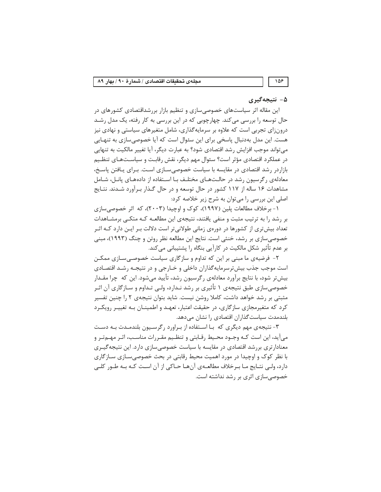#### ۵- نتیجهگیری

این مقاله اثر سیاستهای خصوصی سازی و تنظیم بازار بررشداقتصادی کشورهای در حال توسعه را بررسی می کند. چهارچوبی که در این بررسی به کار رفته، یک مدل رشـد درونزای تجربی است که علاوه بر سرمایهگذاری، شامل متغیرهای سیاستی و نهادی نیز هست. این مدل بهدنبال پاسخی برای این سئوال است که آیا خصوصیسازی به تنهـایی می تواند موجب افزایش رشد اقتصادی شود؟ به عبارت دیگر، آیا تغییر مالکیت به تنهایی در عملکرد اقتصادی مؤثر است؟ سئوال مهم دیگر، نقش رقابت و سیاسـتـهـای تنظـیم بازاردر رشد اقتصادی در مقایسه با سیاست خصوصی سـازی اسـت. بـرای پـافتن پاسـخ، معادلهی رگرسیون رشد در حالتهای مختلف با استفاده از دادههای پانل، شامل مشاهدات ۱۶ ساله از ۱۱۷ کشور در حال توسعه و در حال گـذار بـرآورد شـدند. نتـایج اصلی این بررسی را می توان به شرح زیر خلاصه کرد:

۱- برخلاف مطالعات پلین (۱۹۹۷)، کوک و اوچیدا (۲۰۰۳)، که اثر خصوصی سازی بر رشد را به ترتیب مثبت و منفی یافتند، نتیجهی این مطالعـه کـه متکـی برمشـاهدات تعداد بیش تری از کشورها در دورهی زمانی طولانی تر است دلالت بـر ایـن دارد کـه اثـر خصوصی سازی بر رشد، خنثی است. نتایج این مطالعه نظر روتن و چنگ (۱۹۹۳)، مبنی بر عدم تأثیر شکل مالکیت در کارآیی بنگاه را پشتیبانی می کند.

۲- فرضیهی ما مبنی بر این که تداوم و سازگاری سیاست خصوصی سـازی ممکـن است موجب جذب بیش ترسرمایهگذاران داخلی و خـارجی و در نتیجـه رشـد اقتصـادی بیش تر شود، با نتایج برآورد معادلهی رگرسیون رشد، تأیید می شود. این که چرا مقــدار خصوصی سازی طبق نتیجهی ۱ تأثیری بر رشد نـدارد، ولـی تـداوم و سـازگاری آن اثـر مثبتی بر رشد خواهد داشت، کاملا روشن نیست. شاید بتوان نتیجهی ۲ را چنین تفسیر کرد که متغیرمجازی سازگاری، در حقیقت اعتبار، تعهـد و اطمینـان بـه تغییـر رویکـرد بلندمدت سیاست گذاران اقتصادی را نشان می دهد.

۳- نتیجه ی مهم دیگری که بـا اسـتفاده از بـراورد رگرسـیون بلندمـدت بـه دسـت میآید، این است کـه وجـود محـیط رقـابتی و تنظـیم مقـررات مناسـب، اثـر مهـمتـر و معنادار تری بررشد اقتصادی در مقایسه با سیاست خصوصی سازی دارد. این نتیجه گیـری با نظر کوک و اوچیدا در مورد اهمیت محیط رقابتی در بحث خصوصی سازی سازگاری دارد، ولـي نتـايج مـا بـرخلاف مطالعــهي آن هـا حــاكي از آن اسـت كــه بــه طــور كلــي خصوصی سازی اثری بر رشد نداشته است.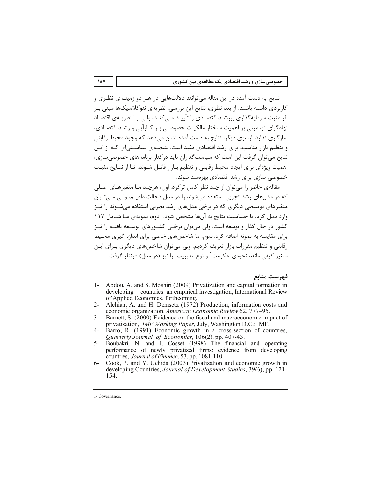نتایج به دست آمده در این مقاله میتوانند دلالتهایی در هـر دو زمینــهی نظـری و کاربردی داشته باشند. از بعد نظری، نتایج این بررسی، نظریهی نئوکلاسیکها مبنی بـر اثر مثبت سرمایه گذاری بررشـد اقتصـادی را تأییـد مـی کنـد، ولـی بـا نظریـهی اقتصـاد نهادگرای نو، مبنی بر اهمیت ساختار مالکیـت خصوصـی بـر کـارآیی و رشـد اقتصـادی، ساز گاری ندارد. ازسوی دیگر، نتایج به دست آمده نشان می دهد که وجود محیط رقابتی و تنظیم بازار مناسب، برای رشد اقتصادی مفید است. نتیجیهی سیاسته ای کیه از این نتایج می توان گرفت این است که سیاست گذاران باید در کنار برنامههای خصوصی سازی، اهمیت ویژهای برای ایجاد محیط رقابتی و تنظیم بـازار قائـل شـوند، تـا از نتـایج مثبـت خصوصی سازی برای رشد اقتصادی بهرهمند شوند.

مقالهی حاضر را می توان از چند نظر کامل ترکرد. اول، هرچند مـا متغیرهـای اصـلی که در مدلهای رشد تجربی استفاده میشوند را در مدل دخالت دادیـم، ولـی مـی تـوان متغیرهای توضیحی دیگری که در برخی مدلهای رشد تجربی استفاده می شـوند را نیـز وارد مدل کرد، تا حساست نتایج به آنها مشخص شود. دوم، نمونهی مـا شـامل ۱۱۷ کشور در حال گذار و توسعه است، ولی می توان برخـی کشــورهای توسـعه یافتــه را نیــز برای مقایسه به نمونه اضافه کرد. سوم، ما شاخصهای خاصی برای اندازه گیری محـیط رقابتی و تنظیم مقررات بازار تعریف کردیم، ولی میتوان شاخصهای دیگری بـرای ایـن متغیر کیفی مانند نحوهی حکومت ٰ و نوع مدیریت ۱٫ نیز (در مدل) درنظر گرفت.

#### فهرست منابع

- Abdou, A. and S. Moshiri (2009) Privatization and capital formation in  $1$ developing countries: an empirical investigation, International Review of Applied Economics, forthcoming.
- $2 -$ Alchian, A. and H. Demsetz (1972) Production, information costs and economic organization. American Economic Review 62, 777-95.
- $\mathcal{F}$ Barnett, S. (2000) Evidence on the fiscal and macroeconomic impact of privatization, IMF Working Paper, July, Washington D.C.: IMF.
- Barro, R. (1991) Economic growth in a cross-section of countries,  $\overline{4}$ Quarterly Journal of Economics, 106(2), pp. 407-43.
- Boubakri, N. and J. Cosset (1998) The financial and operating  $5$ performance of newly privatized firms: evidence from developing countries, Journal of Finance, 53, pp. 1081-110.
- Cook, P. and Y. Uchida (2003) Privatization and economic growth in  $6$ developing Countries, Journal of Development Studies, 39(6), pp. 121-154.

<sup>1-</sup> Governance